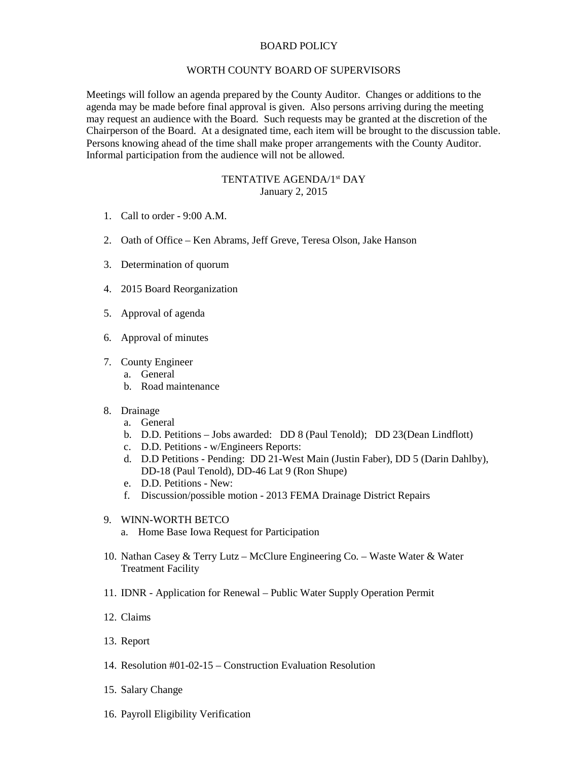## BOARD POLICY

## WORTH COUNTY BOARD OF SUPERVISORS

Meetings will follow an agenda prepared by the County Auditor. Changes or additions to the agenda may be made before final approval is given. Also persons arriving during the meeting may request an audience with the Board. Such requests may be granted at the discretion of the Chairperson of the Board. At a designated time, each item will be brought to the discussion table. Persons knowing ahead of the time shall make proper arrangements with the County Auditor. Informal participation from the audience will not be allowed.

## TENTATIVE AGENDA/1st DAY January 2, 2015

- 1. Call to order 9:00 A.M.
- 2. Oath of Office Ken Abrams, Jeff Greve, Teresa Olson, Jake Hanson
- 3. Determination of quorum
- 4. 2015 Board Reorganization
- 5. Approval of agenda
- 6. Approval of minutes
- 7. County Engineer
	- a. General
	- b. Road maintenance
- 8. Drainage
	- a. General
	- b. D.D. Petitions Jobs awarded: DD 8 (Paul Tenold); DD 23(Dean Lindflott)
	- c. D.D. Petitions w/Engineers Reports:
	- d. D.D Petitions Pending: DD 21-West Main (Justin Faber), DD 5 (Darin Dahlby), DD-18 (Paul Tenold), DD-46 Lat 9 (Ron Shupe)
	- e. D.D. Petitions New:
	- f. Discussion/possible motion 2013 FEMA Drainage District Repairs
- 9. WINN-WORTH BETCO
	- a. Home Base Iowa Request for Participation
- 10. Nathan Casey & Terry Lutz McClure Engineering Co. Waste Water & Water Treatment Facility
- 11. IDNR Application for Renewal Public Water Supply Operation Permit
- 12. Claims
- 13. Report
- 14. Resolution #01-02-15 Construction Evaluation Resolution
- 15. Salary Change
- 16. Payroll Eligibility Verification